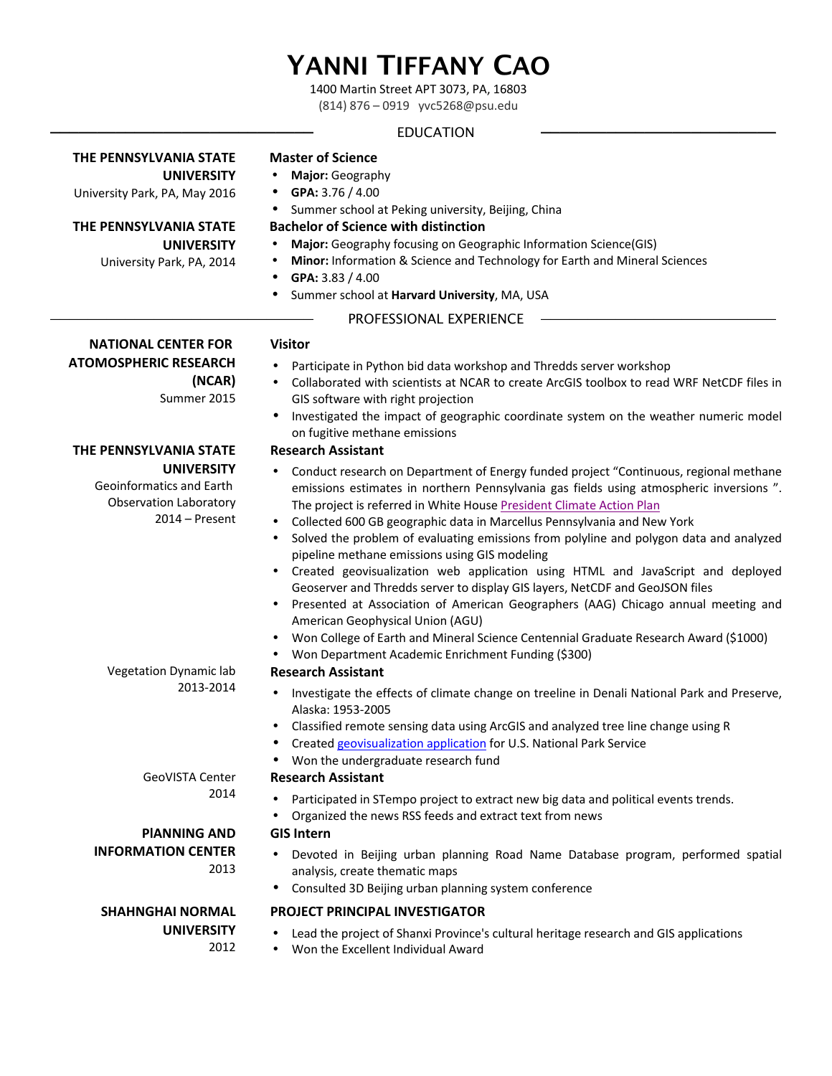# YANNI TIFFANY CAO

1400 Martin Street APT 3073, PA, 16803

(814) 876 - 0919 yvc5268@psu.edu

# ———————————————————————————— EDUCATION —————————————————————————

# **THE PENNSYLVANIA STATE**

**UNIVERSITY** University Park, PA, May 2016

**THE PENNSYLVANIA STATE UNIVERSITY**

University Park, PA, 2014

# **Master of Science**

- **Major:** Geography
- **GPA:** 3.76 / 4.00
- Summer school at Peking university, Beijing, China

# **Bachelor of Science with distinction**

- **Major:** Geography focusing on Geographic Information Science(GIS)
- **Minor:** Information & Science and Technology for Earth and Mineral Sciences
- **GPA:** 3.83 / 4.00
- Summer school at Harvard University, MA, USA

# PROFESSIONAL EXPERIENCE

# **Visitor**

- Participate in Python bid data workshop and Thredds server workshop
- Collaborated with scientists at NCAR to create ArcGIS toolbox to read WRF NetCDF files in GIS software with right projection
- Investigated the impact of geographic coordinate system on the weather numeric model on fugitive methane emissions

# **Research Assistant**

- Conduct research on Department of Energy funded project "Continuous, regional methane emissions estimates in northern Pennsylvania gas fields using atmospheric inversions ". The project is referred in White House President Climate Action Plan
- Collected 600 GB geographic data in Marcellus Pennsylvania and New York
- Solved the problem of evaluating emissions from polyline and polygon data and analyzed pipeline methane emissions using GIS modeling
- Created geovisualization web application using HTML and JavaScript and deployed Geoserver and Thredds server to display GIS layers, NetCDF and GeoJSON files
- Presented at Association of American Geographers (AAG) Chicago annual meeting and American Geophysical Union (AGU)
- Won College of Earth and Mineral Science Centennial Graduate Research Award (\$1000)
- Won Department Academic Enrichment Funding (\$300)

## **Research Assistant**

- Investigate the effects of climate change on treeline in Denali National Park and Preserve, Alaska: 1953-2005
- Classified remote sensing data using ArcGIS and analyzed tree line change using R
- Created geovisualization application for U.S. National Park Service
- Won the undergraduate research fund

# **Research Assistant**

- Participated in STempo project to extract new big data and political events trends.
- Organized the news RSS feeds and extract text from news

# **GIS Intern**

- Devoted in Beijing urban planning Road Name Database program, performed spatial analysis, create thematic maps
- Consulted 3D Beijing urban planning system conference

# **PROJECT PRINCIPAL INVESTIGATOR**

- Lead the project of Shanxi Province's cultural heritage research and GIS applications
- Won the Excellent Individual Award

Vegetation Dynamic lab 2013-2014

> **GeoVISTA Center** 2014

# **PIANNING AND INFORMATION CENTER** 2013

# **SHAHNGHAI NORMAL UNIVERSITY**

2012



**THE PENNSYLVANIA STATE** 

Geoinformatics and Earth Observation Laboratory

**UNIVERSITY**

2014 – Present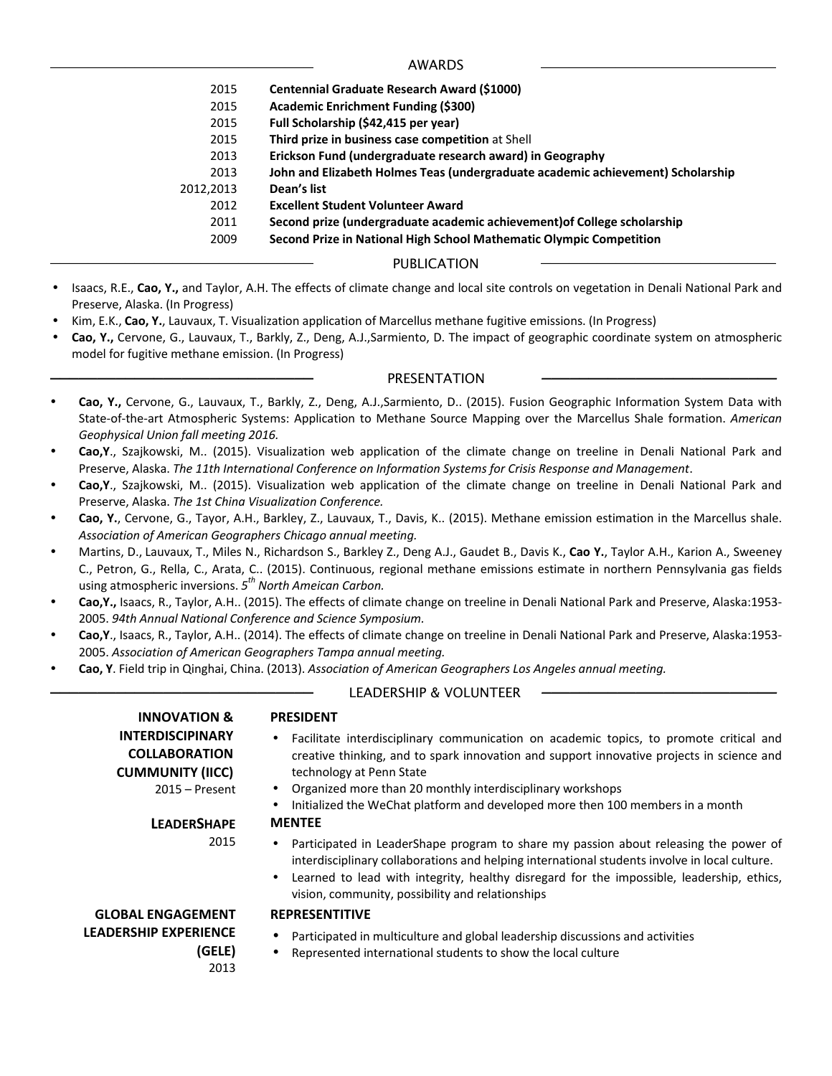———————————————————————————— AWARDS —————————————————————————

- 2015 **Centennial Graduate Research Award (\$1000)**
- 2015 **Academic Enrichment Funding (\$300)**
- 2015 **Full Scholarship (\$42,415 per year)**
- **2015** Third prize in business case competition at Shell
- 2013 **Erickson Fund (undergraduate research award) in Geography**
- 2013 **John and Elizabeth Holmes Teas (undergraduate academic achievement) Scholarship**
- 2012,2013 **Dean's list**
	- 2012 **Excellent Student Volunteer Award**
	- 2011 **Second prize (undergraduate academic achievement)of College scholarship**
	- 2009 **Second Prize in National High School Mathematic Olympic Competition**

## PUBLICATION

- Isaacs, R.E., Cao, Y., and Taylor, A.H. The effects of climate change and local site controls on vegetation in Denali National Park and Preserve, Alaska. (In Progress)
- Kim, E.K., Cao, Y., Lauvaux, T. Visualization application of Marcellus methane fugitive emissions. (In Progress)
- Cao, Y., Cervone, G., Lauvaux, T., Barkly, Z., Deng, A.J.,Sarmiento, D. The impact of geographic coordinate system on atmospheric model for fugitive methane emission. (In Progress)

### PRESENTATION

- Cao, Y., Cervone, G., Lauvaux, T., Barkly, Z., Deng, A.J.,Sarmiento, D.. (2015). Fusion Geographic Information System Data with State-of-the-art Atmospheric Systems: Application to Methane Source Mapping over the Marcellus Shale formation. American *Geophysical Union fall meeting 2016.*
- **Cao, Y.**, Szajkowski, M.. (2015). Visualization web application of the climate change on treeline in Denali National Park and Preserve, Alaska. The 11th International Conference on Information Systems for Crisis Response and Management.
- Cao, Y., Szajkowski, M.. (2015). Visualization web application of the climate change on treeline in Denali National Park and Preserve, Alaska. The 1st China Visualization Conference.
- Cao, Y., Cervone, G., Tayor, A.H., Barkley, Z., Lauvaux, T., Davis, K.. (2015). Methane emission estimation in the Marcellus shale. Association of American Geographers Chicago annual meeting.
- Martins, D., Lauvaux, T., Miles N., Richardson S., Barkley Z., Deng A.J., Gaudet B., Davis K., Cao Y., Taylor A.H., Karion A., Sweeney C., Petron, G., Rella, C., Arata, C.. (2015). Continuous, regional methane emissions estimate in northern Pennsylvania gas fields using atmospheric inversions. 5<sup>th</sup> North Ameican Carbon.
- Cao, Y., Isaacs, R., Taylor, A.H.. (2015). The effects of climate change on treeline in Denali National Park and Preserve, Alaska:1953-2005. 94th Annual National Conference and Science Symposium.
- Cao, Y., Isaacs, R., Taylor, A.H.. (2014). The effects of climate change on treeline in Denali National Park and Preserve, Alaska:1953-2005. Association of American Geographers Tampa annual meeting.
- **Cao, Y**. Field trip in Qinghai, China. (2013). Association of American Geographers Los Angeles annual meeting.

#### **LEADERSHIP & VOLUNTEER**

| <b>INNOVATION &amp;</b>                                                                        | <b>PRESIDENT</b>                                                                                                                                                                                                                                                                                                                                                     |
|------------------------------------------------------------------------------------------------|----------------------------------------------------------------------------------------------------------------------------------------------------------------------------------------------------------------------------------------------------------------------------------------------------------------------------------------------------------------------|
| <b>INTERDISCIPINARY</b><br><b>COLLABORATION</b><br><b>CUMMUNITY (IICC)</b><br>$2015 -$ Present | Facilitate interdisciplinary communication on academic topics, to promote critical and<br>creative thinking, and to spark innovation and support innovative projects in science and<br>technology at Penn State<br>Organized more than 20 monthly interdisciplinary workshops<br>Initialized the WeChat platform and developed more then 100 members in a month<br>٠ |
| <b>LEADERSHAPE</b>                                                                             | <b>MENTEE</b>                                                                                                                                                                                                                                                                                                                                                        |
| 2015                                                                                           | Participated in LeaderShape program to share my passion about releasing the power of<br>$\bullet$<br>interdisciplinary collaborations and helping international students involve in local culture.<br>Learned to lead with integrity, healthy disregard for the impossible, leadership, ethics,<br>٠<br>vision, community, possibility and relationships             |
| <b>GLOBAL ENGAGEMENT</b>                                                                       | <b>REPRESENTITIVE</b>                                                                                                                                                                                                                                                                                                                                                |
| <b>LEADERSHIP EXPERIENCE</b><br>(GELE)<br>2013                                                 | Participated in multiculture and global leadership discussions and activities<br>٠<br>Represented international students to show the local culture<br>٠                                                                                                                                                                                                              |